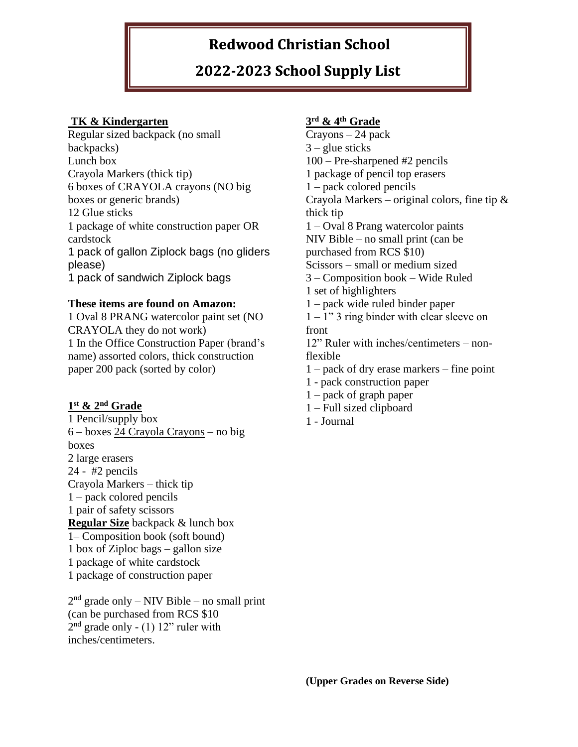# **Redwood Christian School**

## **2022-2023 School Supply List**

### **TK & Kindergarten**

Regular sized backpack (no small backpacks) Lunch box Crayola Markers (thick tip) 6 boxes of CRAYOLA crayons (NO big boxes or generic brands) 12 Glue sticks 1 package of white construction paper OR cardstock 1 pack of gallon Ziplock bags (no gliders please) 1 pack of sandwich Ziplock bags

#### **These items are found on Amazon:**

1 Oval 8 PRANG watercolor paint set (NO CRAYOLA they do not work) 1 In the Office Construction Paper (brand's name) assorted colors, thick construction paper 200 pack (sorted by color)

#### **1 st & 2nd Grade**

1 Pencil/supply box 6 – boxes 24 Crayola Crayons – no big boxes 2 large erasers 24 - #2 pencils Crayola Markers – thick tip 1 – pack colored pencils 1 pair of safety scissors **Regular Size** backpack & lunch box 1– Composition book (soft bound) 1 box of Ziploc bags – gallon size 1 package of white cardstock 1 package of construction paper

 $2<sup>nd</sup>$  grade only – NIV Bible – no small print (can be purchased from RCS \$10  $2<sup>nd</sup>$  grade only - (1) 12" ruler with inches/centimeters.

### **3 rd & 4th Grade**

Crayons – 24 pack  $3$  – glue sticks 100 – Pre-sharpened #2 pencils 1 package of pencil top erasers 1 – pack colored pencils Crayola Markers – original colors, fine tip  $\&$ thick tip 1 – Oval 8 Prang watercolor paints NIV Bible – no small print (can be purchased from RCS \$10) Scissors – small or medium sized 3 – Composition book – Wide Ruled 1 set of highlighters 1 – pack wide ruled binder paper  $1 - 1$ " 3 ring binder with clear sleeve on front 12" Ruler with inches/centimeters – nonflexible 1 – pack of dry erase markers – fine point 1 - pack construction paper 1 – pack of graph paper

- 1 Full sized clipboard
- 1 Journal